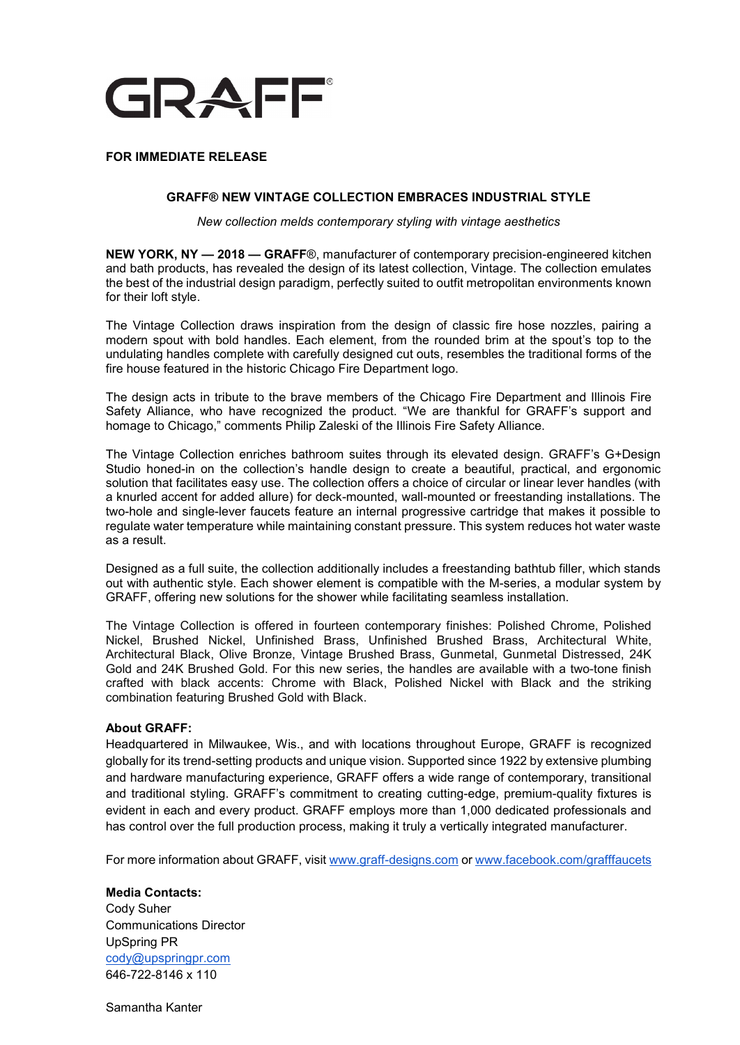

## **FOR IMMEDIATE RELEASE**

## **GRAFF® NEW VINTAGE COLLECTION EMBRACES INDUSTRIAL STYLE**

*New collection melds contemporary styling with vintage aesthetics* 

**NEW YORK, NY — 2018 — GRAFF**®, manufacturer of contemporary precision-engineered kitchen and bath products, has revealed the design of its latest collection, Vintage. The collection emulates the best of the industrial design paradigm, perfectly suited to outfit metropolitan environments known for their loft style.

The Vintage Collection draws inspiration from the design of classic fire hose nozzles, pairing a modern spout with bold handles. Each element, from the rounded brim at the spout's top to the undulating handles complete with carefully designed cut outs, resembles the traditional forms of the fire house featured in the historic Chicago Fire Department logo.

The design acts in tribute to the brave members of the Chicago Fire Department and Illinois Fire Safety Alliance, who have recognized the product. "We are thankful for GRAFF's support and homage to Chicago," comments Philip Zaleski of the Illinois Fire Safety Alliance.

The Vintage Collection enriches bathroom suites through its elevated design. GRAFF's G+Design Studio honed-in on the collection's handle design to create a beautiful, practical, and ergonomic solution that facilitates easy use. The collection offers a choice of circular or linear lever handles (with a knurled accent for added allure) for deck-mounted, wall-mounted or freestanding installations. The two-hole and single-lever faucets feature an internal progressive cartridge that makes it possible to regulate water temperature while maintaining constant pressure. This system reduces hot water waste as a result.

Designed as a full suite, the collection additionally includes a freestanding bathtub filler, which stands out with authentic style. Each shower element is compatible with the M-series, a modular system by GRAFF, offering new solutions for the shower while facilitating seamless installation.

The Vintage Collection is offered in fourteen contemporary finishes: Polished Chrome, Polished Nickel, Brushed Nickel, Unfinished Brass, Unfinished Brushed Brass, Architectural White, Architectural Black, Olive Bronze, Vintage Brushed Brass, Gunmetal, Gunmetal Distressed, 24K Gold and 24K Brushed Gold. For this new series, the handles are available with a two-tone finish crafted with black accents: Chrome with Black, Polished Nickel with Black and the striking combination featuring Brushed Gold with Black.

## **About GRAFF:**

Headquartered in Milwaukee, Wis., and with locations throughout Europe, GRAFF is recognized globally for its trend-setting products and unique vision. Supported since 1922 by extensive plumbing and hardware manufacturing experience, GRAFF offers a wide range of contemporary, transitional and traditional styling. GRAFF's commitment to creating cutting-edge, premium-quality fixtures is evident in each and every product. GRAFF employs more than 1,000 dedicated professionals and has control over the full production process, making it truly a vertically integrated manufacturer.

For more information about GRAFF, visi[t](http://www.graff-faucets.com/) [www.graff-designs.com](http://www.graff-faucets.com/) or [www.facebook.com/grafffaucets](http://www.facebook.com/grafffaucets)

**Media Contacts:** Cody Suher Communications Director UpSpring PR cody@upspringpr.com 646-722-8146 x 110

Samantha Kanter